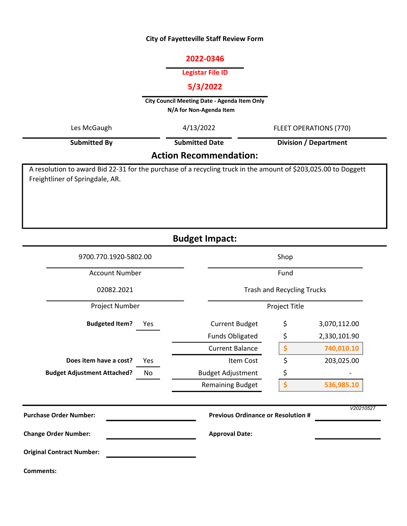#### City of Fayetteville Staff Review Form

# 2022-0346

# Legistar File ID

# 5/3/2022

City Council Meeting Date - Agenda Item Only N/A for Non-Agenda Item

| Les McGaugh                   | 4/13/2022             | FLEET OPERATIONS (770) |  |  |  |  |  |
|-------------------------------|-----------------------|------------------------|--|--|--|--|--|
| <b>Submitted By</b>           | <b>Submitted Date</b> | Division / Department  |  |  |  |  |  |
| <b>Action Recommendation:</b> |                       |                        |  |  |  |  |  |

A resolution to award Bid 22-31 for the purchase of a recycling truck in the amount of \$203,025.00 to Doggett Freightliner of Springdale, AR.

Budget Impact:

| 9700.770.1920-5802.00                    | Shop                                      |      |              |  |
|------------------------------------------|-------------------------------------------|------|--------------|--|
| <b>Account Number</b>                    |                                           | Fund |              |  |
| 02082.2021                               | <b>Trash and Recycling Trucks</b>         |      |              |  |
| Project Number                           | Project Title                             |      |              |  |
| <b>Budgeted Item?</b><br>Yes             | <b>Current Budget</b>                     | \$   | 3,070,112.00 |  |
|                                          | <b>Funds Obligated</b>                    | \$   | 2,330,101.90 |  |
|                                          | <b>Current Balance</b>                    | \$   | 740,010.10   |  |
| Does item have a cost?<br>Yes            | <b>Item Cost</b>                          | \$   | 203,025.00   |  |
| <b>Budget Adjustment Attached?</b><br>No | <b>Budget Adjustment</b>                  | \$   |              |  |
|                                          | <b>Remaining Budget</b>                   | \$   | 536,985.10   |  |
| <b>Purchase Order Number:</b>            | <b>Previous Ordinance or Resolution #</b> |      | V20210527    |  |
| <b>Change Order Number:</b>              | <b>Approval Date:</b>                     |      |              |  |
| <b>Original Contract Number:</b>         |                                           |      |              |  |
| <b>Comments:</b>                         |                                           |      |              |  |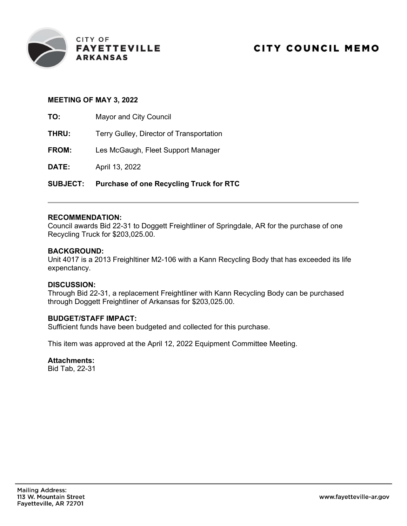

# MEETING OF MAY 3, 2022

TO: Mayor and City Council

- **THRU:** Terry Gulley, Director of Transportation
- FROM: Les McGaugh, Fleet Support Manager

**DATE:** April 13, 2022

SUBJECT: Purchase of one Recycling Truck for RTC

#### RECOMMENDATION:

Council awards Bid 22-31 to Doggett Freightliner of Springdale, AR for the purchase of one Recycling Truck for \$203,025.00.

#### BACKGROUND:

Unit 4017 is a 2013 Freighltiner M2-106 with a Kann Recycling Body that has exceeded its life expenctancy.

#### DISCUSSION:

Through Bid 22-31, a replacement Freightliner with Kann Recycling Body can be purchased through Doggett Freightliner of Arkansas for \$203,025.00.

# BUDGET/STAFF IMPACT:

Sufficient funds have been budgeted and collected for this purchase.

This item was approved at the April 12, 2022 Equipment Committee Meeting.

#### Attachments:

Bid Tab, 22-31